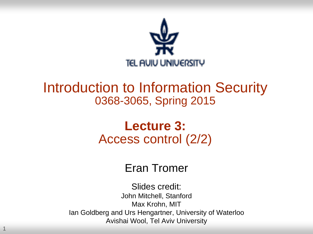

### Introduction to Information Security 0368-3065, Spring 2015

### **Lecture 3:** Access control (2/2)

#### Eran Tromer

Slides credit: John Mitchell, Stanford Max Krohn, MIT Ian Goldberg and Urs Hengartner, University of Waterloo Avishai Wool, Tel Aviv University

1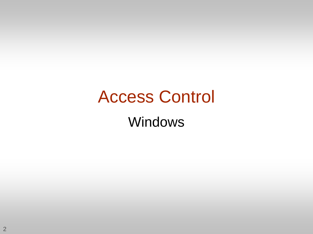# Access Control Windows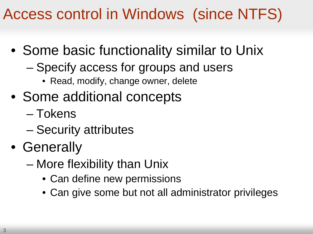Access control in Windows (since NTFS)

- Some basic functionality similar to Unix
	- Specify access for groups and users
		- Read, modify, change owner, delete
- Some additional concepts
	- Tokens
	- Security attributes
- Generally
	- More flexibility than Unix
		- Can define new permissions
		- Can give some but not all administrator privileges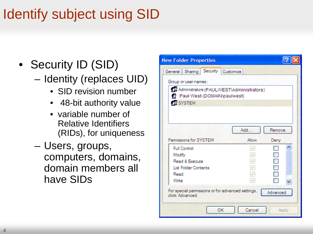## Identify subject using SID

- Security ID (SID)
	- Identity (replaces UID)
		- SID revision number
		- 48-bit authority value
		- variable number of Relative Identifiers (RIDs), for uniqueness
	- Users, groups, computers, domains, domain members all have SIDs

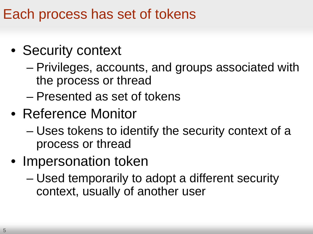### Each process has set of tokens

## • Security context

- Privileges, accounts, and groups associated with the process or thread
- Presented as set of tokens
- Reference Monitor
	- Uses tokens to identify the security context of a process or thread
- Impersonation token
	- Used temporarily to adopt a different security context, usually of another user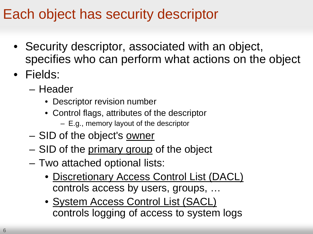### Each object has security descriptor

- Security descriptor, associated with an object, specifies who can perform what actions on the object
- Fields:
	- Header
		- Descriptor revision number
		- Control flags, attributes of the descriptor – E.g., memory layout of the descriptor
	- SID of the object's owner
	- SID of the primary group of the object
	- Two attached optional lists:
		- Discretionary Access Control List (DACL) controls access by users, groups, …
		- System Access Control List (SACL) controls logging of access to system logs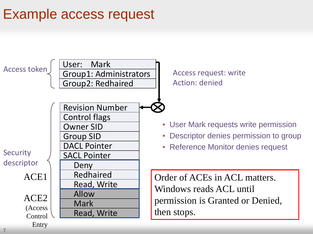### Example access request

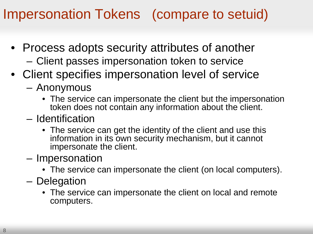### Impersonation Tokens (compare to setuid)

- Process adopts security attributes of another
	- Client passes impersonation token to service
- Client specifies impersonation level of service
	- Anonymous
		- The service can impersonate the client but the impersonation token does not contain any information about the client.
	- Identification
		- The service can get the identity of the client and use this information in its own security mechanism, but it cannot impersonate the client.
	- Impersonation
		- The service can impersonate the client (on local computers).
	- Delegation
		- The service can impersonate the client on local and remote computers.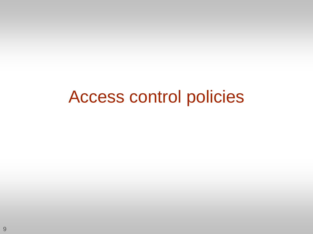# Access control policies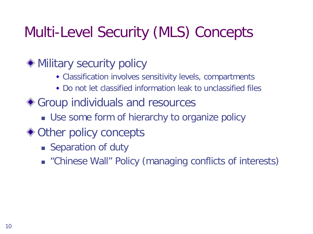## Multi-Level Security (MLS) Concepts

### Military security policy

- Classification involves sensitivity levels, compartments
- Do not let classified information leak to unclassified files
- Group individuals and resources
	- **Use some form of hierarchy to organize policy**
- ◆ Other policy concepts
	- Separation of duty
	- "Chinese Wall" Policy (managing conflicts of interests)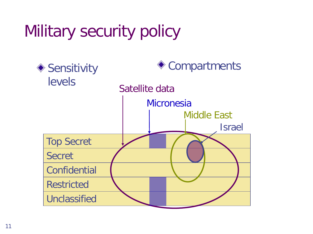# Military security policy

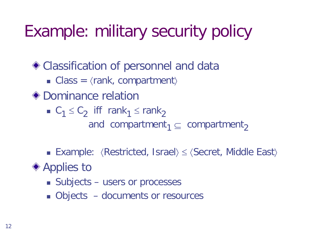# Example: military security policy

Classification of personnel and data

- Class =  $\langle$ rank, compartment $\rangle$
- ◆ Dominance relation
	- $C_1 \leq C_2$  iff rank<sub>1</sub> ≤ rank<sub>2</sub>

and compartment<sub>1</sub>  $\subseteq$  compartment<sub>2</sub>

■ Example:  $\langle$ Restricted, Israel $\rangle$   $\leq$   $\langle$ Secret, Middle East $\rangle$ 

◆ Applies to

- Subjects users or processes
- Objects documents or resources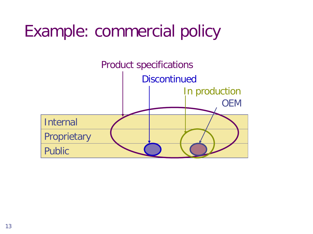# Example: commercial policy

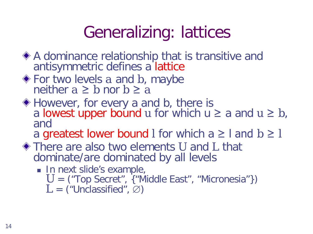# Generalizing: lattices

- A dominance relationship that is transitive and antisymmetric defines a lattice
- For two levels *a* and *b*, maybe neither  $a \geq b$  nor  $b \geq a$
- ◆ However, for every a and b, there is a lowest upper bound *u* for which  $u \ge a$  and  $u \ge b$ , and

a greatest lower bound *l* for which  $a \geq 1$  and  $b \geq 1$ 

- There are also two elements *U* and *L* that dominate/are dominated by all levels
	- In next slide's example, *U* = ("Top Secret", {"Middle East", "Micronesia"})  $L =$  ("Unclassified",  $\varnothing$ )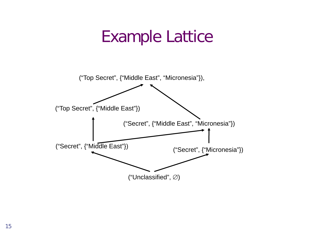## Example Lattice

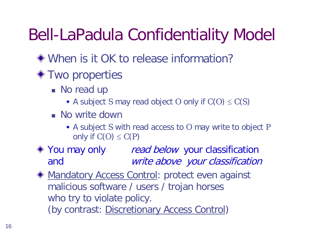# Bell-LaPadula Confidentiality Model

- When is it OK to release information?
- **◆ Two properties** 
	- No read up
		- A subject *S* may read object *O* only if  $C(O) \le C(S)$
	- No write down
		- A subject *S* with read access to *O* may write to object *P* only if  $C(O) \le C(P)$

◆ You may only *read below* your classification and write above your classification

**Mandatory Access Control: protect even against** malicious software / users / trojan horses who try to violate policy. (by contrast: Discretionary Access Control)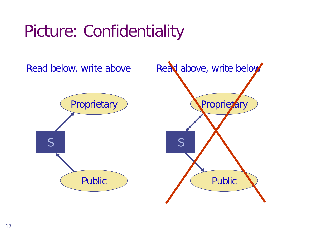# Picture: Confidentiality

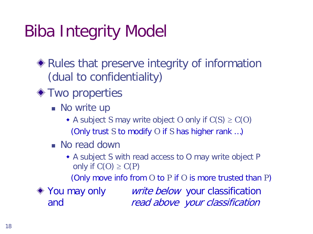# Biba Integrity Model

- Rules that preserve integrity of information (dual to confidentiality)
- **◆ Two properties** 
	- **No write up** 
		- A subject *S* may write object *O* only if  $C(S) \ge C(O)$ (Only trust *S* to modify *O* if *S* has higher rank …)
	- No read down
		- A subject S with read access to O may write object P only if  $C(O) \ge C(P)$

(Only move info from *O* to *P* if *O* is more trusted than *P*)

◆ You may only *write below* your classification and read above your classification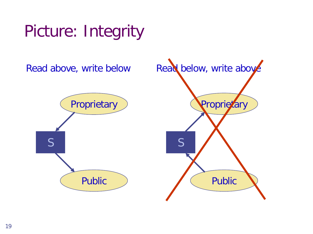# Picture: Integrity

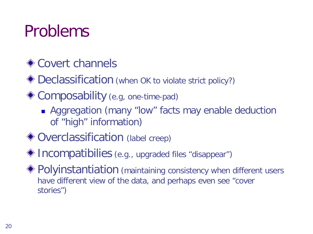# Problems

### **♦ Covert channels**

◆ Declassification (when OK to violate strict policy?)

- ◆ Composability (e.g, one-time-pad)
	- **Aggregation (many "low" facts may enable deduction** of "high" information)
- ◆ Overclassification (label creep)
- Incompatibilies (e.g., upgraded files "disappear")
- Polyinstantiation (maintaining consistency when different users have different view of the data, and perhaps even see "cover stories")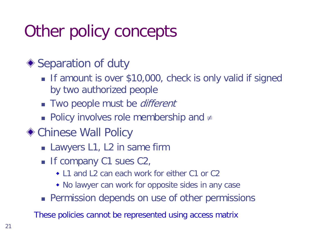# Other policy concepts

### ◆ Separation of duty

- If amount is over \$10,000, check is only valid if signed by two authorized people
- **Two people must be** *different*
- **Policy involves role membership and**  $\neq$
- Chinese Wall Policy
	- **Lawyers L1, L2 in same firm**
	- If company C1 sues C2,
		- L1 and L2 can each work for either C1 or C2
		- No lawyer can work for opposite sides in any case
	- **Permission depends on use of other permissions**

These policies cannot be represented using access matrix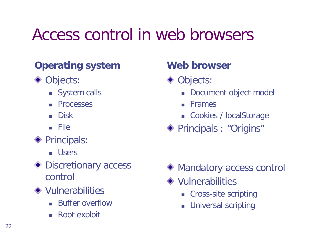## Access control in web browsers

#### **Operating system**

- ◆ Objects:
	- System calls
	- **Processes**
	- Disk
	- File
- **◆ Principals:** 
	- **u** Users
- ◆ Discretionary access control
- **◆ Vulnerabilities** 
	- **Buffer overflow**
	- Root exploit

#### **Web browser**

- ◆ Objects:
	- Document object model
	- **Frames**
	- Cookies / localStorage
- ◆ Principals : "Origins"

- ◆ Mandatory access control
- **◆ Vulnerabilities** 
	- **Cross-site scripting**
	- **Universal scripting**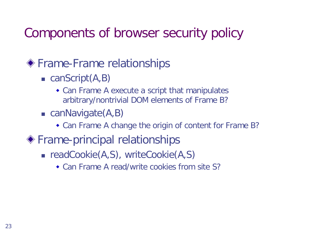### Components of browser security policy

#### Frame-Frame relationships

- $\blacksquare$  canScript(A,B)
	- Can Frame A execute a script that manipulates arbitrary/nontrivial DOM elements of Frame B?
- $\blacksquare$  canNavigate(A,B)
	- Can Frame A change the origin of content for Frame B?
- Frame-principal relationships
	- readCookie(A,S), writeCookie(A,S)
		- Can Frame A read/write cookies from site S?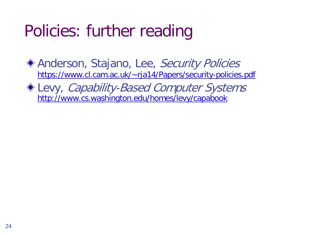# Policies: further reading

Anderson, Stajano, Lee, Security Policies [https://www.cl.cam.ac.uk/~rja14/Papers/security-policies.pdf](https://www.cl.cam.ac.uk/%7Erja14/Papers/security-policies.pdf)

Levy, Capability-Based Computer Systems [http://www.cs.washington.edu/homes/levy/capabook](http://www.cs.washington.edu/homes/levy/capabook/)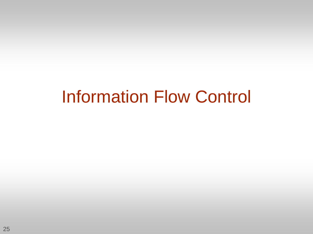# Information Flow Control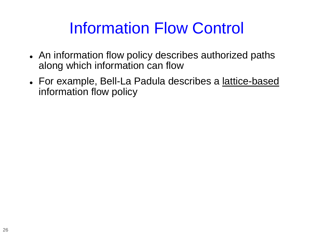## Information Flow Control

- An information flow policy describes authorized paths along which information can flow
- For example, Bell-La Padula describes a lattice-based information flow policy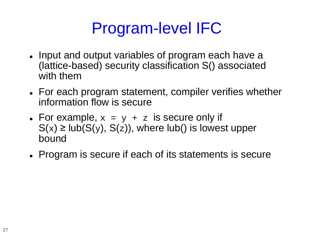# Program-level IFC

- Input and output variables of program each have a (lattice-based) security classification S() associated with them
- For each program statement, compiler verifies whether information flow is secure
- For example,  $x = y + z$  is secure only if  $S(x) \geq lub(S(y), S(z))$ , where lub() is lowest upper bound
- Program is secure if each of its statements is secure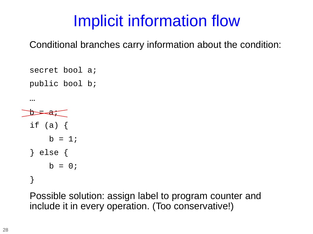# Implicit information flow

Conditional branches carry information about the condition:

secret bool a; public bool b;

…

```
=\frac{1}{2}if (a) \{b = 1;} else {
b = 0;}
```
Possible solution: assign label to program counter and include it in every operation. (Too conservative!)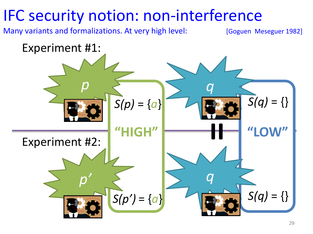## IFC security notion: non-interference

Many variants and formalizations. At very high level: [Goguen Meseguer 1982]

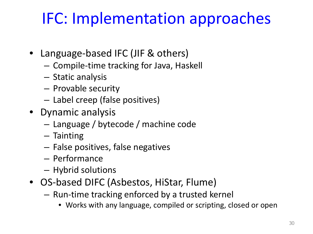# IFC: Implementation approaches

- Language-based IFC (JIF & others)
	- Compile-time tracking for Java, Haskell
	- Static analysis
	- Provable security
	- Label creep (false positives)
- Dynamic analysis
	- Language / bytecode / machine code
	- Tainting
	- False positives, false negatives
	- Performance
	- Hybrid solutions
- OS-based DIFC (Asbestos, HiStar, Flume)
	- Run-time tracking enforced by a trusted kernel
		- Works with any language, compiled or scripting, closed or open